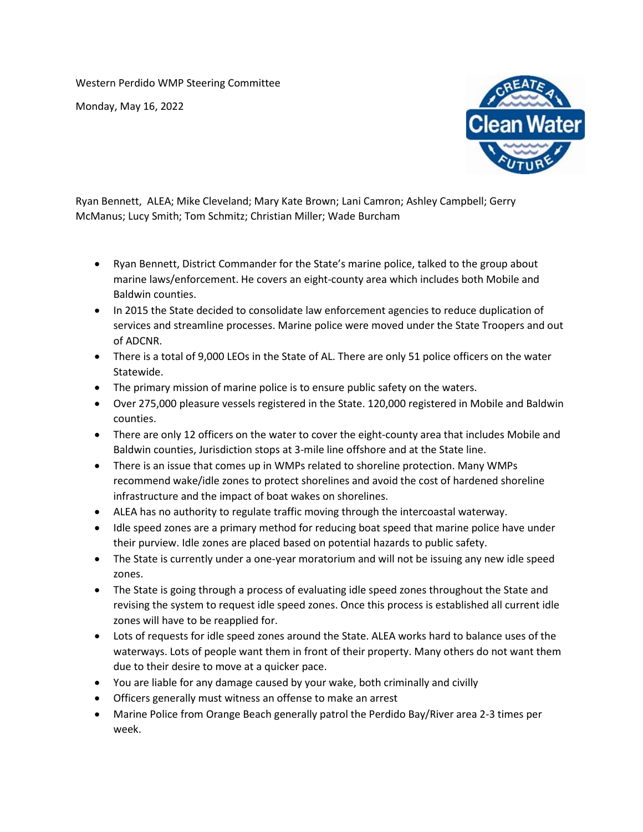Western Perdido WMP Steering Committee

Monday, May 16, 2022



Ryan Bennett, ALEA; Mike Cleveland; Mary Kate Brown; Lani Camron; Ashley Campbell; Gerry McManus; Lucy Smith; Tom Schmitz; Christian Miller; Wade Burcham

- Ryan Bennett, District Commander for the State's marine police, talked to the group about marine laws/enforcement. He covers an eight-county area which includes both Mobile and Baldwin counties.
- In 2015 the State decided to consolidate law enforcement agencies to reduce duplication of services and streamline processes. Marine police were moved under the State Troopers and out of ADCNR.
- There is a total of 9,000 LEOs in the State of AL. There are only 51 police officers on the water Statewide.
- The primary mission of marine police is to ensure public safety on the waters.
- Over 275,000 pleasure vessels registered in the State. 120,000 registered in Mobile and Baldwin counties.
- There are only 12 officers on the water to cover the eight-county area that includes Mobile and Baldwin counties, Jurisdiction stops at 3-mile line offshore and at the State line.
- There is an issue that comes up in WMPs related to shoreline protection. Many WMPs recommend wake/idle zones to protect shorelines and avoid the cost of hardened shoreline infrastructure and the impact of boat wakes on shorelines.
- ALEA has no authority to regulate traffic moving through the intercoastal waterway.
- Idle speed zones are a primary method for reducing boat speed that marine police have under their purview. Idle zones are placed based on potential hazards to public safety.
- The State is currently under a one-year moratorium and will not be issuing any new idle speed zones.
- The State is going through a process of evaluating idle speed zones throughout the State and revising the system to request idle speed zones. Once this process is established all current idle zones will have to be reapplied for.
- Lots of requests for idle speed zones around the State. ALEA works hard to balance uses of the waterways. Lots of people want them in front of their property. Many others do not want them due to their desire to move at a quicker pace.
- You are liable for any damage caused by your wake, both criminally and civilly
- Officers generally must witness an offense to make an arrest
- Marine Police from Orange Beach generally patrol the Perdido Bay/River area 2-3 times per week.